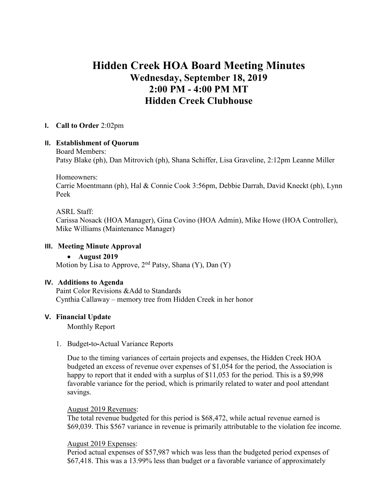# **Hidden Creek HOA Board Meeting Minutes Wednesday, September 18, 2019 2:00 PM - 4:00 PM MT Hidden Creek Clubhouse**

#### **I. Call to Order** 2:02pm

#### **II. Establishment of Quorum**

Board Members:

Patsy Blake (ph), Dan Mitrovich (ph), Shana Schiffer, Lisa Graveline, 2:12pm Leanne Miller

Homeowners:

Carrie Moentmann (ph), Hal & Connie Cook 3:56pm, Debbie Darrah, David Kneckt (ph), Lynn Peek

#### ASRL Staff:

Carissa Nosack (HOA Manager), Gina Covino (HOA Admin), Mike Howe (HOA Controller), Mike Williams (Maintenance Manager)

#### **III. Meeting Minute Approval**

#### • **August 2019**

Motion by Lisa to Approve,  $2<sup>nd</sup>$  Patsy, Shana (Y), Dan (Y)

#### **IV. Additions to Agenda**

Paint Color Revisions &Add to Standards Cynthia Callaway – memory tree from Hidden Creek in her honor

### **V. Financial Update**

Monthly Report

1. Budget**-**to**-**Actual Variance Reports

Due to the timing variances of certain projects and expenses, the Hidden Creek HOA budgeted an excess of revenue over expenses of \$1,054 for the period, the Association is happy to report that it ended with a surplus of \$11,053 for the period. This is a \$9,998 favorable variance for the period, which is primarily related to water and pool attendant savings.

#### August 2019 Revenues:

The total revenue budgeted for this period is \$68,472, while actual revenue earned is \$69,039. This \$567 variance in revenue is primarily attributable to the violation fee income.

#### August 2019 Expenses:

Period actual expenses of \$57,987 which was less than the budgeted period expenses of \$67,418. This was a 13.99% less than budget or a favorable variance of approximately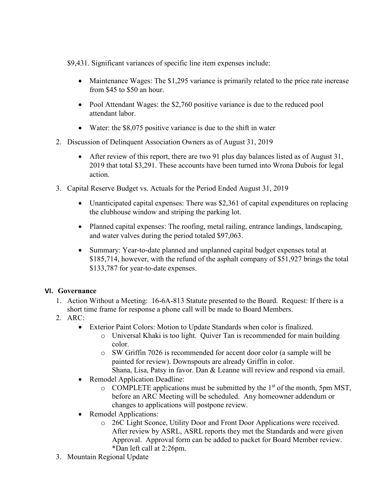\$9,431. Significant variances of specific line item expenses include:

- Maintenance Wages: The \$1,295 variance is primarily related to the price rate increase from \$45 to \$50 an hour.
- Pool Attendant Wages: the \$2,760 positive variance is due to the reduced pool attendant labor.
- Water: the \$8,075 positive variance is due to the shift in water
- 2. Discussion of Delinquent Association Owners as of August 31, 2019
	- After review of this report, there are two 91 plus day balances listed as of August 31, 2019 that total \$3,291. These accounts have been turned into Wrona Dubois for legal action.
- 3. Capital Reserve Budget vs. Actuals for the Period Ended August 31, 2019
	- Unanticipated capital expenses: There was \$2,361 of capital expenditures on replacing the clubhouse window and striping the parking lot.
	- Planned capital expenses: The roofing, metal railing, entrance landings, landscaping, and water valves during the period totaled \$97,063.
	- Summary: Year-to-date planned and unplanned capital budget expenses total at \$185,714, however, with the refund of the asphalt company of \$51,927 brings the total \$133,787 for year-to-date expenses.

# **VI. Governance**

- 1. Action Without a Meeting: 16-6A-813 Statute presented to the Board. Request: If there is a short time frame for response a phone call will be made to Board Members.
- 2. ARC:
	- Exterior Paint Colors: Motion to Update Standards when color is finalized.
		- o Universal Khaki is too light. Quiver Tan is recommended for main building color.
		- o SW Griffin 7026 is recommended for accent door color (a sample will be painted for review). Downspouts are already Griffin in color.
		- Shana, Lisa, Patsy in favor. Dan & Leanne will review and respond via email.
	- Remodel Application Deadline:
		- $\circ$  COMPLETE applications must be submitted by the 1<sup>st</sup> of the month, 5pm MST, before an ARC Meeting will be scheduled. Any homeowner addendum or changes to applications will postpone review.
	- Remodel Applications:
		- o 26C Light Sconce, Utility Door and Front Door Applications were received. After review by ASRL, ASRL reports they met the Standards and were given Approval. Approval form can be added to packet for Board Member review. \*Dan left call at 2:26pm.
- 3. Mountain Regional Update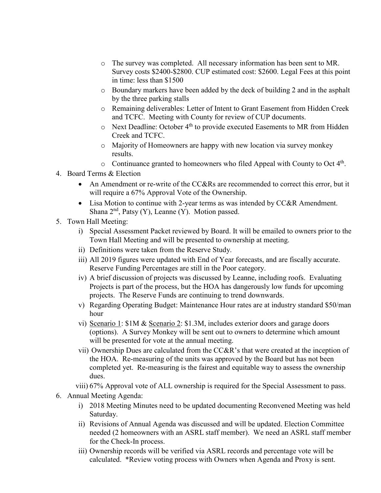- o The survey was completed. All necessary information has been sent to MR. Survey costs \$2400-\$2800. CUP estimated cost: \$2600. Legal Fees at this point in time: less than \$1500
- $\circ$  Boundary markers have been added by the deck of building 2 and in the asphalt by the three parking stalls
- o Remaining deliverables: Letter of Intent to Grant Easement from Hidden Creek and TCFC. Meeting with County for review of CUP documents.
- o Next Deadline: October 4th to provide executed Easements to MR from Hidden Creek and TCFC.
- o Majority of Homeowners are happy with new location via survey monkey results.
- $\circ$  Continuance granted to homeowners who filed Appeal with County to Oct 4<sup>th</sup>.
- 4. Board Terms & Election
	- An Amendment or re-write of the CC&Rs are recommended to correct this error, but it will require a  $67\%$  Approval Vote of the Ownership.
	- Lisa Motion to continue with 2-year terms as was intended by CC&R Amendment. Shana  $2<sup>nd</sup>$ , Patsy (Y), Leanne (Y). Motion passed.
- 5. Town Hall Meeting:
	- i) Special Assessment Packet reviewed by Board. It will be emailed to owners prior to the Town Hall Meeting and will be presented to ownership at meeting.
	- ii) Definitions were taken from the Reserve Study.
	- iii) All 2019 figures were updated with End of Year forecasts, and are fiscally accurate. Reserve Funding Percentages are still in the Poor category.
	- iv) A brief discussion of projects was discussed by Leanne, including roofs. Evaluating Projects is part of the process, but the HOA has dangerously low funds for upcoming projects. The Reserve Funds are continuing to trend downwards.
	- v) Regarding Operating Budget: Maintenance Hour rates are at industry standard \$50/man hour
	- vi) Scenario 1: \$1M & Scenario 2: \$1.3M, includes exterior doors and garage doors (options). A Survey Monkey will be sent out to owners to determine which amount will be presented for vote at the annual meeting.
	- vii) Ownership Dues are calculated from the CC&R's that were created at the inception of the HOA. Re-measuring of the units was approved by the Board but has not been completed yet. Re-measuring is the fairest and equitable way to assess the ownership dues.
	- viii) 67% Approval vote of ALL ownership is required for the Special Assessment to pass.
- 6. Annual Meeting Agenda:
	- i) 2018 Meeting Minutes need to be updated documenting Reconvened Meeting was held Saturday.
	- ii) Revisions of Annual Agenda was discussed and will be updated. Election Committee needed (2 homeowners with an ASRL staff member). We need an ASRL staff member for the Check-In process.
	- iii) Ownership records will be verified via ASRL records and percentage vote will be calculated. \*Review voting process with Owners when Agenda and Proxy is sent.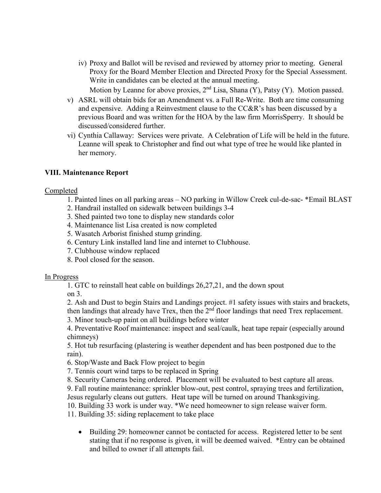iv) Proxy and Ballot will be revised and reviewed by attorney prior to meeting. General Proxy for the Board Member Election and Directed Proxy for the Special Assessment. Write in candidates can be elected at the annual meeting.

Motion by Leanne for above proxies,  $2<sup>nd</sup>$  Lisa, Shana (Y), Patsy (Y). Motion passed.

- v) ASRL will obtain bids for an Amendment vs. a Full Re-Write. Both are time consuming and expensive. Adding a Reinvestment clause to the CC&R's has been discussed by a previous Board and was written for the HOA by the law firm MorrisSperry. It should be discussed/considered further.
- vi) Cynthia Callaway: Services were private. A Celebration of Life will be held in the future. Leanne will speak to Christopher and find out what type of tree he would like planted in her memory.

#### **VIII. Maintenance Report**

Completed

- 1. Painted lines on all parking areas NO parking in Willow Creek cul-de-sac- \*Email BLAST
- 2. Handrail installed on sidewalk between buildings 3-4
- 3. Shed painted two tone to display new standards color
- 4. Maintenance list Lisa created is now completed
- 5. Wasatch Arborist finished stump grinding.
- 6. Century Link installed land line and internet to Clubhouse.
- 7. Clubhouse window replaced
- 8. Pool closed for the season.

#### In Progress

1. GTC to reinstall heat cable on buildings 26,27,21, and the down spout

on 3.

2. Ash and Dust to begin Stairs and Landings project. #1 safety issues with stairs and brackets, then landings that already have Trex, then the  $2<sup>nd</sup>$  floor landings that need Trex replacement.

3. Minor touch-up paint on all buildings before winter

4. Preventative Roof maintenance: inspect and seal/caulk, heat tape repair (especially around chimneys)

5. Hot tub resurfacing (plastering is weather dependent and has been postponed due to the rain).

6. Stop/Waste and Back Flow project to begin

7. Tennis court wind tarps to be replaced in Spring

8. Security Cameras being ordered. Placement will be evaluated to best capture all areas.

9. Fall routine maintenance: sprinkler blow-out, pest control, spraying trees and fertilization,

Jesus regularly cleans out gutters. Heat tape will be turned on around Thanksgiving.

10. Building 33 work is under way. \*We need homeowner to sign release waiver form.

11. Building 35: siding replacement to take place

• Building 29: homeowner cannot be contacted for access. Registered letter to be sent stating that if no response is given, it will be deemed waived. \*Entry can be obtained and billed to owner if all attempts fail.